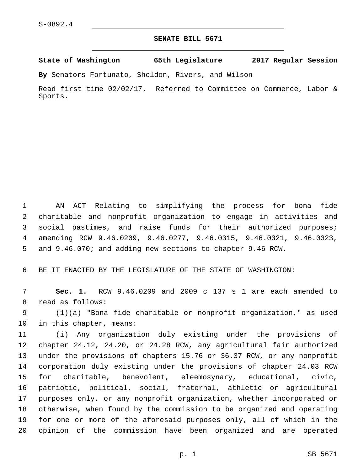## **SENATE BILL 5671**

**State of Washington 65th Legislature 2017 Regular Session**

**By** Senators Fortunato, Sheldon, Rivers, and Wilson

Read first time 02/02/17. Referred to Committee on Commerce, Labor & Sports.

 AN ACT Relating to simplifying the process for bona fide charitable and nonprofit organization to engage in activities and social pastimes, and raise funds for their authorized purposes; amending RCW 9.46.0209, 9.46.0277, 9.46.0315, 9.46.0321, 9.46.0323, and 9.46.070; and adding new sections to chapter 9.46 RCW.

BE IT ENACTED BY THE LEGISLATURE OF THE STATE OF WASHINGTON:

 **Sec. 1.** RCW 9.46.0209 and 2009 c 137 s 1 are each amended to 8 read as follows:

 (1)(a) "Bona fide charitable or nonprofit organization," as used 10 in this chapter, means:

 (i) Any organization duly existing under the provisions of chapter 24.12, 24.20, or 24.28 RCW, any agricultural fair authorized under the provisions of chapters 15.76 or 36.37 RCW, or any nonprofit corporation duly existing under the provisions of chapter 24.03 RCW for charitable, benevolent, eleemosynary, educational, civic, patriotic, political, social, fraternal, athletic or agricultural purposes only, or any nonprofit organization, whether incorporated or otherwise, when found by the commission to be organized and operating for one or more of the aforesaid purposes only, all of which in the opinion of the commission have been organized and are operated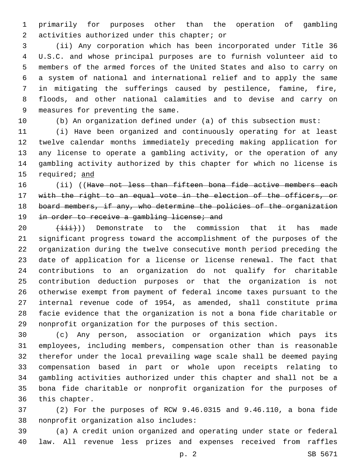primarily for purposes other than the operation of gambling 2 activities authorized under this chapter; or

 (ii) Any corporation which has been incorporated under Title 36 U.S.C. and whose principal purposes are to furnish volunteer aid to members of the armed forces of the United States and also to carry on a system of national and international relief and to apply the same in mitigating the sufferings caused by pestilence, famine, fire, floods, and other national calamities and to devise and carry on 9 measures for preventing the same.

(b) An organization defined under (a) of this subsection must:

 (i) Have been organized and continuously operating for at least twelve calendar months immediately preceding making application for any license to operate a gambling activity, or the operation of any gambling activity authorized by this chapter for which no license is 15 required; and

16 (ii) ((Have not less than fifteen bona fide active members each 17 with the right to an equal vote in the election of the officers, or board members, if any, who determine the policies of the organization 19 in order to receive a gambling license; and

 $(\pm \pm i)$ ) Demonstrate to the commission that it has made significant progress toward the accomplishment of the purposes of the organization during the twelve consecutive month period preceding the date of application for a license or license renewal. The fact that contributions to an organization do not qualify for charitable contribution deduction purposes or that the organization is not otherwise exempt from payment of federal income taxes pursuant to the internal revenue code of 1954, as amended, shall constitute prima facie evidence that the organization is not a bona fide charitable or nonprofit organization for the purposes of this section.

 (c) Any person, association or organization which pays its employees, including members, compensation other than is reasonable therefor under the local prevailing wage scale shall be deemed paying compensation based in part or whole upon receipts relating to gambling activities authorized under this chapter and shall not be a bona fide charitable or nonprofit organization for the purposes of 36 this chapter.

 (2) For the purposes of RCW 9.46.0315 and 9.46.110, a bona fide 38 nonprofit organization also includes:

 (a) A credit union organized and operating under state or federal law. All revenue less prizes and expenses received from raffles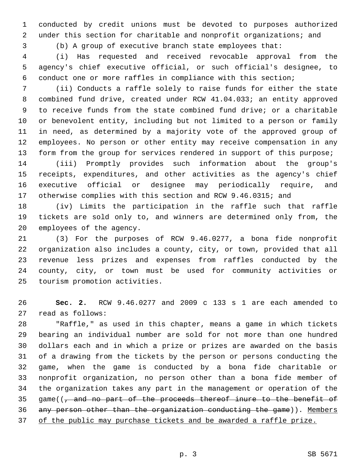conducted by credit unions must be devoted to purposes authorized under this section for charitable and nonprofit organizations; and

(b) A group of executive branch state employees that:

 (i) Has requested and received revocable approval from the agency's chief executive official, or such official's designee, to conduct one or more raffles in compliance with this section;

 (ii) Conducts a raffle solely to raise funds for either the state combined fund drive, created under RCW 41.04.033; an entity approved to receive funds from the state combined fund drive; or a charitable or benevolent entity, including but not limited to a person or family in need, as determined by a majority vote of the approved group of employees. No person or other entity may receive compensation in any 13 form from the group for services rendered in support of this purpose;

 (iii) Promptly provides such information about the group's receipts, expenditures, and other activities as the agency's chief executive official or designee may periodically require, and otherwise complies with this section and RCW 9.46.0315; and

 (iv) Limits the participation in the raffle such that raffle tickets are sold only to, and winners are determined only from, the 20 employees of the agency.

 (3) For the purposes of RCW 9.46.0277, a bona fide nonprofit organization also includes a county, city, or town, provided that all revenue less prizes and expenses from raffles conducted by the county, city, or town must be used for community activities or 25 tourism promotion activities.

 **Sec. 2.** RCW 9.46.0277 and 2009 c 133 s 1 are each amended to 27 read as follows:

 "Raffle," as used in this chapter, means a game in which tickets bearing an individual number are sold for not more than one hundred dollars each and in which a prize or prizes are awarded on the basis of a drawing from the tickets by the person or persons conducting the game, when the game is conducted by a bona fide charitable or nonprofit organization, no person other than a bona fide member of the organization takes any part in the management or operation of the 35 game( $\left(\frac{1}{1}\right)$  and no part of the proceeds thereof inure to the benefit of any person other than the organization conducting the game)). Members of the public may purchase tickets and be awarded a raffle prize.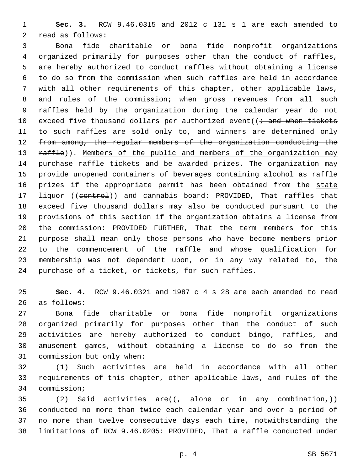**Sec. 3.** RCW 9.46.0315 and 2012 c 131 s 1 are each amended to 2 read as follows:

 Bona fide charitable or bona fide nonprofit organizations organized primarily for purposes other than the conduct of raffles, are hereby authorized to conduct raffles without obtaining a license to do so from the commission when such raffles are held in accordance with all other requirements of this chapter, other applicable laws, and rules of the commission; when gross revenues from all such raffles held by the organization during the calendar year do not 10 exceed five thousand dollars per authorized event( $(i \rightarrow$  and when tickets 11 to such raffles are sold only to, and winners are determined only 12 from among, the regular members of the organization conducting the 13 raffle)). Members of the public and members of the organization may purchase raffle tickets and be awarded prizes. The organization may provide unopened containers of beverages containing alcohol as raffle 16 prizes if the appropriate permit has been obtained from the state 17 liquor ((control)) and cannabis board: PROVIDED, That raffles that exceed five thousand dollars may also be conducted pursuant to the provisions of this section if the organization obtains a license from the commission: PROVIDED FURTHER, That the term members for this purpose shall mean only those persons who have become members prior to the commencement of the raffle and whose qualification for membership was not dependent upon, or in any way related to, the purchase of a ticket, or tickets, for such raffles.

 **Sec. 4.** RCW 9.46.0321 and 1987 c 4 s 28 are each amended to read 26 as follows:

 Bona fide charitable or bona fide nonprofit organizations organized primarily for purposes other than the conduct of such activities are hereby authorized to conduct bingo, raffles, and amusement games, without obtaining a license to do so from the 31 commission but only when:

 (1) Such activities are held in accordance with all other requirements of this chapter, other applicable laws, and rules of the 34 commission;

35 (2) Said activities are( $(-$ alone or in any combination,)) conducted no more than twice each calendar year and over a period of no more than twelve consecutive days each time, notwithstanding the limitations of RCW 9.46.0205: PROVIDED, That a raffle conducted under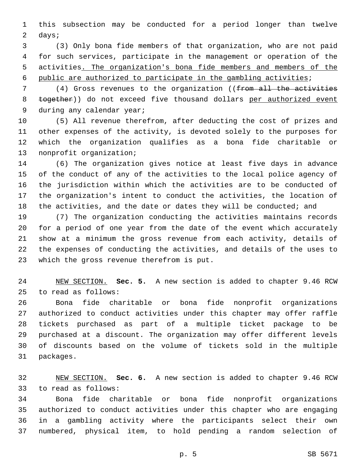this subsection may be conducted for a period longer than twelve 2 days;

 (3) Only bona fide members of that organization, who are not paid for such services, participate in the management or operation of the activities. The organization's bona fide members and members of the public are authorized to participate in the gambling activities;

7 (4) Gross revenues to the organization ((from all the activities 8 together)) do not exceed five thousand dollars per authorized event 9 during any calendar year;

 (5) All revenue therefrom, after deducting the cost of prizes and other expenses of the activity, is devoted solely to the purposes for which the organization qualifies as a bona fide charitable or 13 nonprofit organization;

 (6) The organization gives notice at least five days in advance of the conduct of any of the activities to the local police agency of the jurisdiction within which the activities are to be conducted of the organization's intent to conduct the activities, the location of 18 the activities, and the date or dates they will be conducted; and

 (7) The organization conducting the activities maintains records for a period of one year from the date of the event which accurately show at a minimum the gross revenue from each activity, details of the expenses of conducting the activities, and details of the uses to 23 which the gross revenue therefrom is put.

 NEW SECTION. **Sec. 5.** A new section is added to chapter 9.46 RCW to read as follows:25

 Bona fide charitable or bona fide nonprofit organizations authorized to conduct activities under this chapter may offer raffle tickets purchased as part of a multiple ticket package to be purchased at a discount. The organization may offer different levels of discounts based on the volume of tickets sold in the multiple 31 packages.

 NEW SECTION. **Sec. 6.** A new section is added to chapter 9.46 RCW 33 to read as follows:

 Bona fide charitable or bona fide nonprofit organizations authorized to conduct activities under this chapter who are engaging in a gambling activity where the participants select their own numbered, physical item, to hold pending a random selection of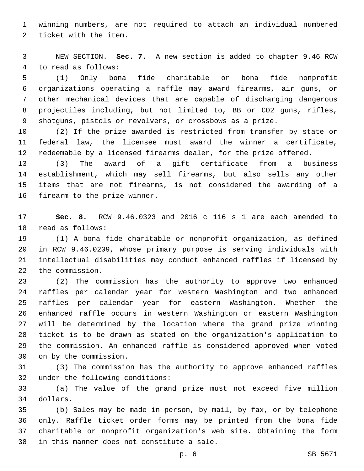winning numbers, are not required to attach an individual numbered 2 ticket with the item.

 NEW SECTION. **Sec. 7.** A new section is added to chapter 9.46 RCW 4 to read as follows:

 (1) Only bona fide charitable or bona fide nonprofit organizations operating a raffle may award firearms, air guns, or other mechanical devices that are capable of discharging dangerous projectiles including, but not limited to, BB or CO2 guns, rifles, shotguns, pistols or revolvers, or crossbows as a prize.

 (2) If the prize awarded is restricted from transfer by state or federal law, the licensee must award the winner a certificate, redeemable by a licensed firearms dealer, for the prize offered.

 (3) The award of a gift certificate from a business establishment, which may sell firearms, but also sells any other items that are not firearms, is not considered the awarding of a 16 firearm to the prize winner.

 **Sec. 8.** RCW 9.46.0323 and 2016 c 116 s 1 are each amended to 18 read as follows:

 (1) A bona fide charitable or nonprofit organization, as defined in RCW 9.46.0209, whose primary purpose is serving individuals with intellectual disabilities may conduct enhanced raffles if licensed by 22 the commission.

 (2) The commission has the authority to approve two enhanced raffles per calendar year for western Washington and two enhanced raffles per calendar year for eastern Washington. Whether the enhanced raffle occurs in western Washington or eastern Washington will be determined by the location where the grand prize winning ticket is to be drawn as stated on the organization's application to the commission. An enhanced raffle is considered approved when voted 30 on by the commission.

 (3) The commission has the authority to approve enhanced raffles 32 under the following conditions:

 (a) The value of the grand prize must not exceed five million 34 dollars.

 (b) Sales may be made in person, by mail, by fax, or by telephone only. Raffle ticket order forms may be printed from the bona fide charitable or nonprofit organization's web site. Obtaining the form 38 in this manner does not constitute a sale.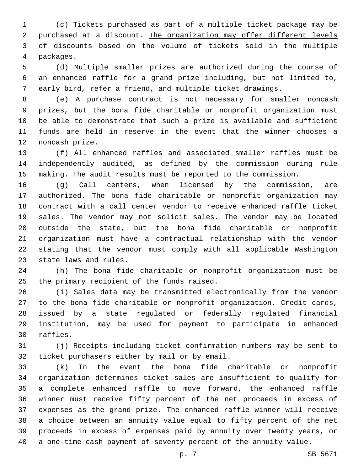(c) Tickets purchased as part of a multiple ticket package may be 2 purchased at a discount. The organization may offer different levels of discounts based on the volume of tickets sold in the multiple packages.

 (d) Multiple smaller prizes are authorized during the course of an enhanced raffle for a grand prize including, but not limited to, early bird, refer a friend, and multiple ticket drawings.

 (e) A purchase contract is not necessary for smaller noncash prizes, but the bona fide charitable or nonprofit organization must be able to demonstrate that such a prize is available and sufficient funds are held in reserve in the event that the winner chooses a 12 noncash prize.

 (f) All enhanced raffles and associated smaller raffles must be independently audited, as defined by the commission during rule making. The audit results must be reported to the commission.

 (g) Call centers, when licensed by the commission, are authorized. The bona fide charitable or nonprofit organization may contract with a call center vendor to receive enhanced raffle ticket sales. The vendor may not solicit sales. The vendor may be located outside the state, but the bona fide charitable or nonprofit organization must have a contractual relationship with the vendor stating that the vendor must comply with all applicable Washington 23 state laws and rules.

 (h) The bona fide charitable or nonprofit organization must be 25 the primary recipient of the funds raised.

 (i) Sales data may be transmitted electronically from the vendor to the bona fide charitable or nonprofit organization. Credit cards, issued by a state regulated or federally regulated financial institution, may be used for payment to participate in enhanced 30 raffles.

 (j) Receipts including ticket confirmation numbers may be sent to 32 ticket purchasers either by mail or by email.

 (k) In the event the bona fide charitable or nonprofit organization determines ticket sales are insufficient to qualify for a complete enhanced raffle to move forward, the enhanced raffle winner must receive fifty percent of the net proceeds in excess of expenses as the grand prize. The enhanced raffle winner will receive a choice between an annuity value equal to fifty percent of the net proceeds in excess of expenses paid by annuity over twenty years, or a one-time cash payment of seventy percent of the annuity value.

p. 7 SB 5671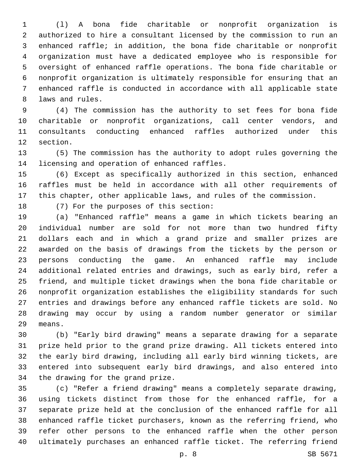(l) A bona fide charitable or nonprofit organization is authorized to hire a consultant licensed by the commission to run an enhanced raffle; in addition, the bona fide charitable or nonprofit organization must have a dedicated employee who is responsible for oversight of enhanced raffle operations. The bona fide charitable or nonprofit organization is ultimately responsible for ensuring that an enhanced raffle is conducted in accordance with all applicable state 8 laws and rules.

 (4) The commission has the authority to set fees for bona fide charitable or nonprofit organizations, call center vendors, and consultants conducting enhanced raffles authorized under this 12 section.

 (5) The commission has the authority to adopt rules governing the 14 licensing and operation of enhanced raffles.

 (6) Except as specifically authorized in this section, enhanced raffles must be held in accordance with all other requirements of this chapter, other applicable laws, and rules of the commission.

18 (7) For the purposes of this section:

 (a) "Enhanced raffle" means a game in which tickets bearing an individual number are sold for not more than two hundred fifty dollars each and in which a grand prize and smaller prizes are awarded on the basis of drawings from the tickets by the person or persons conducting the game. An enhanced raffle may include additional related entries and drawings, such as early bird, refer a friend, and multiple ticket drawings when the bona fide charitable or nonprofit organization establishes the eligibility standards for such entries and drawings before any enhanced raffle tickets are sold. No drawing may occur by using a random number generator or similar 29 means.

 (b) "Early bird drawing" means a separate drawing for a separate prize held prior to the grand prize drawing. All tickets entered into the early bird drawing, including all early bird winning tickets, are entered into subsequent early bird drawings, and also entered into 34 the drawing for the grand prize.

 (c) "Refer a friend drawing" means a completely separate drawing, using tickets distinct from those for the enhanced raffle, for a separate prize held at the conclusion of the enhanced raffle for all enhanced raffle ticket purchasers, known as the referring friend, who refer other persons to the enhanced raffle when the other person ultimately purchases an enhanced raffle ticket. The referring friend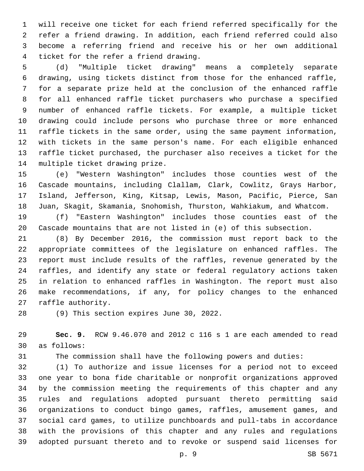will receive one ticket for each friend referred specifically for the refer a friend drawing. In addition, each friend referred could also become a referring friend and receive his or her own additional 4 ticket for the refer a friend drawing.

 (d) "Multiple ticket drawing" means a completely separate drawing, using tickets distinct from those for the enhanced raffle, for a separate prize held at the conclusion of the enhanced raffle for all enhanced raffle ticket purchasers who purchase a specified number of enhanced raffle tickets. For example, a multiple ticket drawing could include persons who purchase three or more enhanced raffle tickets in the same order, using the same payment information, with tickets in the same person's name. For each eligible enhanced raffle ticket purchased, the purchaser also receives a ticket for the 14 multiple ticket drawing prize.

 (e) "Western Washington" includes those counties west of the Cascade mountains, including Clallam, Clark, Cowlitz, Grays Harbor, Island, Jefferson, King, Kitsap, Lewis, Mason, Pacific, Pierce, San Juan, Skagit, Skamania, Snohomish, Thurston, Wahkiakum, and Whatcom.

 (f) "Eastern Washington" includes those counties east of the Cascade mountains that are not listed in (e) of this subsection.

 (8) By December 2016, the commission must report back to the appropriate committees of the legislature on enhanced raffles. The report must include results of the raffles, revenue generated by the raffles, and identify any state or federal regulatory actions taken in relation to enhanced raffles in Washington. The report must also make recommendations, if any, for policy changes to the enhanced 27 raffle authority.

28 (9) This section expires June 30, 2022.

 **Sec. 9.** RCW 9.46.070 and 2012 c 116 s 1 are each amended to read as follows:30

The commission shall have the following powers and duties:

 (1) To authorize and issue licenses for a period not to exceed one year to bona fide charitable or nonprofit organizations approved by the commission meeting the requirements of this chapter and any rules and regulations adopted pursuant thereto permitting said organizations to conduct bingo games, raffles, amusement games, and social card games, to utilize punchboards and pull-tabs in accordance with the provisions of this chapter and any rules and regulations adopted pursuant thereto and to revoke or suspend said licenses for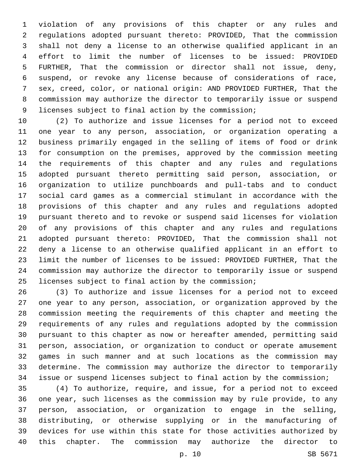violation of any provisions of this chapter or any rules and regulations adopted pursuant thereto: PROVIDED, That the commission shall not deny a license to an otherwise qualified applicant in an effort to limit the number of licenses to be issued: PROVIDED FURTHER, That the commission or director shall not issue, deny, suspend, or revoke any license because of considerations of race, sex, creed, color, or national origin: AND PROVIDED FURTHER, That the commission may authorize the director to temporarily issue or suspend licenses subject to final action by the commission;

 (2) To authorize and issue licenses for a period not to exceed one year to any person, association, or organization operating a business primarily engaged in the selling of items of food or drink for consumption on the premises, approved by the commission meeting the requirements of this chapter and any rules and regulations adopted pursuant thereto permitting said person, association, or organization to utilize punchboards and pull-tabs and to conduct social card games as a commercial stimulant in accordance with the provisions of this chapter and any rules and regulations adopted pursuant thereto and to revoke or suspend said licenses for violation of any provisions of this chapter and any rules and regulations adopted pursuant thereto: PROVIDED, That the commission shall not deny a license to an otherwise qualified applicant in an effort to limit the number of licenses to be issued: PROVIDED FURTHER, That the commission may authorize the director to temporarily issue or suspend licenses subject to final action by the commission;

 (3) To authorize and issue licenses for a period not to exceed one year to any person, association, or organization approved by the commission meeting the requirements of this chapter and meeting the requirements of any rules and regulations adopted by the commission pursuant to this chapter as now or hereafter amended, permitting said person, association, or organization to conduct or operate amusement games in such manner and at such locations as the commission may determine. The commission may authorize the director to temporarily issue or suspend licenses subject to final action by the commission;

 (4) To authorize, require, and issue, for a period not to exceed one year, such licenses as the commission may by rule provide, to any person, association, or organization to engage in the selling, distributing, or otherwise supplying or in the manufacturing of devices for use within this state for those activities authorized by this chapter. The commission may authorize the director to

p. 10 SB 5671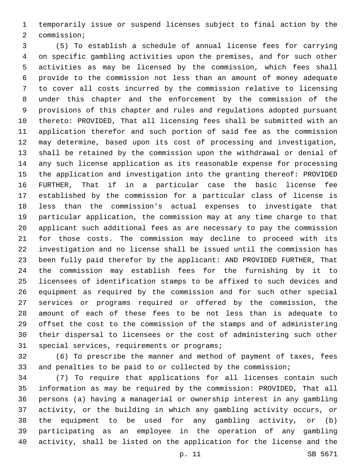temporarily issue or suspend licenses subject to final action by the 2 commission;

 (5) To establish a schedule of annual license fees for carrying on specific gambling activities upon the premises, and for such other activities as may be licensed by the commission, which fees shall provide to the commission not less than an amount of money adequate to cover all costs incurred by the commission relative to licensing under this chapter and the enforcement by the commission of the provisions of this chapter and rules and regulations adopted pursuant thereto: PROVIDED, That all licensing fees shall be submitted with an application therefor and such portion of said fee as the commission may determine, based upon its cost of processing and investigation, shall be retained by the commission upon the withdrawal or denial of any such license application as its reasonable expense for processing the application and investigation into the granting thereof: PROVIDED FURTHER, That if in a particular case the basic license fee established by the commission for a particular class of license is less than the commission's actual expenses to investigate that particular application, the commission may at any time charge to that applicant such additional fees as are necessary to pay the commission for those costs. The commission may decline to proceed with its investigation and no license shall be issued until the commission has been fully paid therefor by the applicant: AND PROVIDED FURTHER, That the commission may establish fees for the furnishing by it to licensees of identification stamps to be affixed to such devices and equipment as required by the commission and for such other special services or programs required or offered by the commission, the amount of each of these fees to be not less than is adequate to offset the cost to the commission of the stamps and of administering their dispersal to licensees or the cost of administering such other 31 special services, requirements or programs;

 (6) To prescribe the manner and method of payment of taxes, fees and penalties to be paid to or collected by the commission;

 (7) To require that applications for all licenses contain such information as may be required by the commission: PROVIDED, That all persons (a) having a managerial or ownership interest in any gambling activity, or the building in which any gambling activity occurs, or the equipment to be used for any gambling activity, or (b) participating as an employee in the operation of any gambling activity, shall be listed on the application for the license and the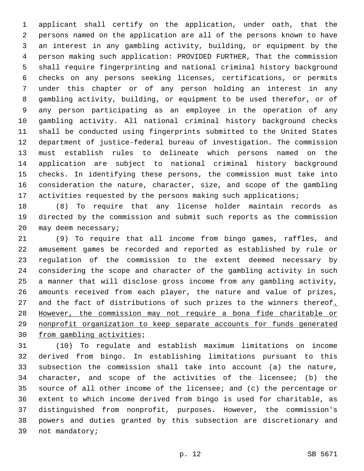applicant shall certify on the application, under oath, that the persons named on the application are all of the persons known to have an interest in any gambling activity, building, or equipment by the person making such application: PROVIDED FURTHER, That the commission shall require fingerprinting and national criminal history background checks on any persons seeking licenses, certifications, or permits under this chapter or of any person holding an interest in any gambling activity, building, or equipment to be used therefor, or of any person participating as an employee in the operation of any gambling activity. All national criminal history background checks shall be conducted using fingerprints submitted to the United States department of justice-federal bureau of investigation. The commission must establish rules to delineate which persons named on the application are subject to national criminal history background checks. In identifying these persons, the commission must take into consideration the nature, character, size, and scope of the gambling 17 activities requested by the persons making such applications;

 (8) To require that any license holder maintain records as directed by the commission and submit such reports as the commission 20 may deem necessary;

 (9) To require that all income from bingo games, raffles, and amusement games be recorded and reported as established by rule or regulation of the commission to the extent deemed necessary by considering the scope and character of the gambling activity in such a manner that will disclose gross income from any gambling activity, amounts received from each player, the nature and value of prizes, 27 and the fact of distributions of such prizes to the winners thereof. However, the commission may not require a bona fide charitable or nonprofit organization to keep separate accounts for funds generated 30 from gambling activities;

 (10) To regulate and establish maximum limitations on income derived from bingo. In establishing limitations pursuant to this subsection the commission shall take into account (a) the nature, character, and scope of the activities of the licensee; (b) the source of all other income of the licensee; and (c) the percentage or extent to which income derived from bingo is used for charitable, as distinguished from nonprofit, purposes. However, the commission's powers and duties granted by this subsection are discretionary and 39 not mandatory;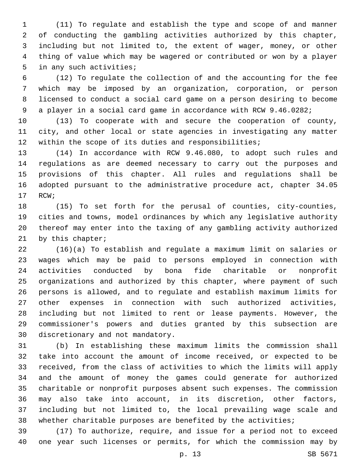(11) To regulate and establish the type and scope of and manner of conducting the gambling activities authorized by this chapter, including but not limited to, the extent of wager, money, or other thing of value which may be wagered or contributed or won by a player 5 in any such activities;

 (12) To regulate the collection of and the accounting for the fee which may be imposed by an organization, corporation, or person licensed to conduct a social card game on a person desiring to become a player in a social card game in accordance with RCW 9.46.0282;

 (13) To cooperate with and secure the cooperation of county, city, and other local or state agencies in investigating any matter within the scope of its duties and responsibilities;

 (14) In accordance with RCW 9.46.080, to adopt such rules and regulations as are deemed necessary to carry out the purposes and provisions of this chapter. All rules and regulations shall be adopted pursuant to the administrative procedure act, chapter 34.05 17 RCW;

 (15) To set forth for the perusal of counties, city-counties, cities and towns, model ordinances by which any legislative authority thereof may enter into the taxing of any gambling activity authorized 21 by this chapter;

 (16)(a) To establish and regulate a maximum limit on salaries or wages which may be paid to persons employed in connection with activities conducted by bona fide charitable or nonprofit organizations and authorized by this chapter, where payment of such persons is allowed, and to regulate and establish maximum limits for other expenses in connection with such authorized activities, including but not limited to rent or lease payments. However, the commissioner's powers and duties granted by this subsection are 30 discretionary and not mandatory.

 (b) In establishing these maximum limits the commission shall take into account the amount of income received, or expected to be received, from the class of activities to which the limits will apply and the amount of money the games could generate for authorized charitable or nonprofit purposes absent such expenses. The commission may also take into account, in its discretion, other factors, including but not limited to, the local prevailing wage scale and whether charitable purposes are benefited by the activities;

 (17) To authorize, require, and issue for a period not to exceed one year such licenses or permits, for which the commission may by

p. 13 SB 5671